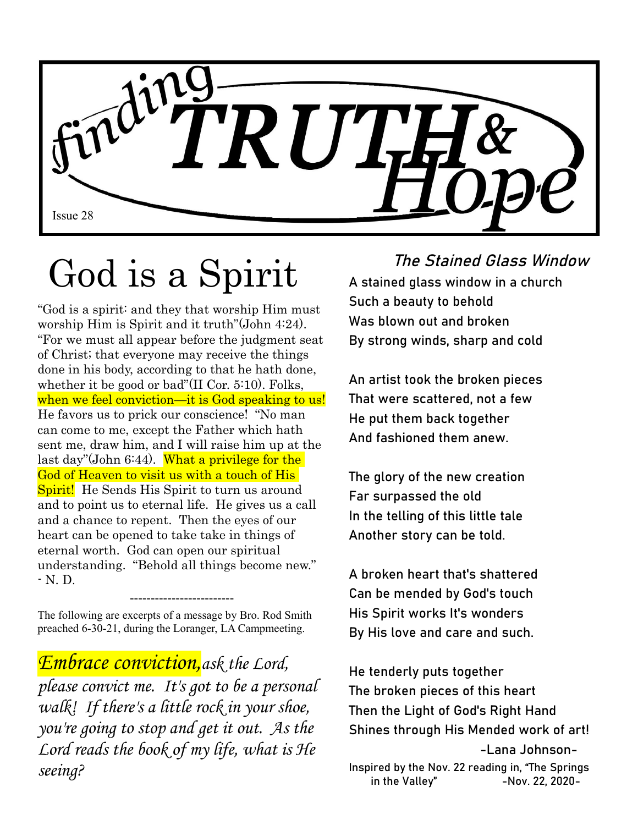

# God is a Spirit

"God is a spirit: and they that worship Him must worship Him is Spirit and it truth"(John 4:24). "For we must all appear before the judgment seat of Christ; that everyone may receive the things done in his body, according to that he hath done, whether it be good or bad"(II Cor. 5:10). Folks, when we feel conviction—it is God speaking to us! He favors us to prick our conscience! "No man can come to me, except the Father which hath sent me, draw him, and I will raise him up at the last day"(John 6:44). What a privilege for the God of Heaven to visit us with a touch of His **Spirit!** He Sends His Spirit to turn us around and to point us to eternal life. He gives us a call and a chance to repent. Then the eyes of our heart can be opened to take take in things of eternal worth. God can open our spiritual understanding. "Behold all things become new." - N. D.

The following are excerpts of a message by Bro. Rod Smith preached 6-30-21, during the Loranger, LA Campmeeting.

-------------------------

*Embrace conviction,ask the Lord, please convict me. It's got to be a personal walk! If there's a little rock in your shoe, you're going to stop and get it out. As the Lord reads the book of my life, what is He seeing?*

#### The Stained Glass Window

A stained glass window in a church Such a beauty to behold Was blown out and broken By strong winds, sharp and cold

An artist took the broken pieces That were scattered, not a few He put them back together And fashioned them anew.

The glory of the new creation Far surpassed the old In the telling of this little tale Another story can be told.

A broken heart that's shattered Can be mended by God's touch His Spirit works It's wonders By His love and care and such.

He tenderly puts together The broken pieces of this heart Then the Light of God's Right Hand Shines through His Mended work of art! -Lana Johnson-Inspired by the Nov. 22 reading in, "The Springs in the Valley" -Nov. 22, 2020-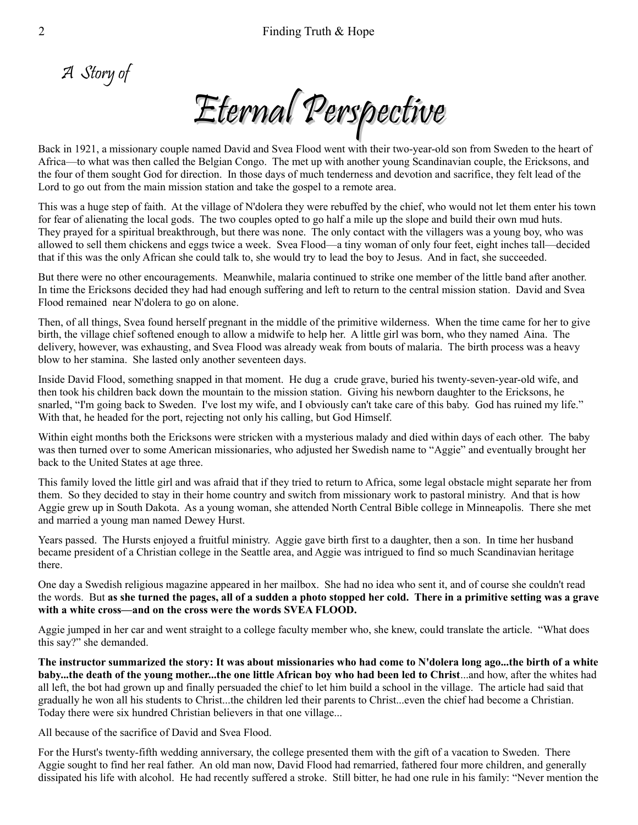A Story of

Eternal Perspective

Back in 1921, a missionary couple named David and Svea Flood went with their two-year-old son from Sweden to the heart of Africa—to what was then called the Belgian Congo. The met up with another young Scandinavian couple, the Ericksons, and the four of them sought God for direction. In those days of much tenderness and devotion and sacrifice, they felt lead of the Lord to go out from the main mission station and take the gospel to a remote area.

This was a huge step of faith. At the village of N'dolera they were rebuffed by the chief, who would not let them enter his town for fear of alienating the local gods. The two couples opted to go half a mile up the slope and build their own mud huts. They prayed for a spiritual breakthrough, but there was none. The only contact with the villagers was a young boy, who was allowed to sell them chickens and eggs twice a week. Svea Flood—a tiny woman of only four feet, eight inches tall—decided that if this was the only African she could talk to, she would try to lead the boy to Jesus. And in fact, she succeeded.

But there were no other encouragements. Meanwhile, malaria continued to strike one member of the little band after another. In time the Ericksons decided they had had enough suffering and left to return to the central mission station. David and Svea Flood remained near N'dolera to go on alone.

Then, of all things, Svea found herself pregnant in the middle of the primitive wilderness. When the time came for her to give birth, the village chief softened enough to allow a midwife to help her. A little girl was born, who they named Aina. The delivery, however, was exhausting, and Svea Flood was already weak from bouts of malaria. The birth process was a heavy blow to her stamina. She lasted only another seventeen days.

Inside David Flood, something snapped in that moment. He dug a crude grave, buried his twenty-seven-year-old wife, and then took his children back down the mountain to the mission station. Giving his newborn daughter to the Ericksons, he snarled, "I'm going back to Sweden. I've lost my wife, and I obviously can't take care of this baby. God has ruined my life." With that, he headed for the port, rejecting not only his calling, but God Himself.

Within eight months both the Ericksons were stricken with a mysterious malady and died within days of each other. The baby was then turned over to some American missionaries, who adjusted her Swedish name to "Aggie" and eventually brought her back to the United States at age three.

This family loved the little girl and was afraid that if they tried to return to Africa, some legal obstacle might separate her from them. So they decided to stay in their home country and switch from missionary work to pastoral ministry. And that is how Aggie grew up in South Dakota. As a young woman, she attended North Central Bible college in Minneapolis. There she met and married a young man named Dewey Hurst.

Years passed. The Hursts enjoyed a fruitful ministry. Aggie gave birth first to a daughter, then a son. In time her husband became president of a Christian college in the Seattle area, and Aggie was intrigued to find so much Scandinavian heritage there.

One day a Swedish religious magazine appeared in her mailbox. She had no idea who sent it, and of course she couldn't read the words. But **as she turned the pages, all of a sudden a photo stopped her cold. There in a primitive setting was a grave with a white cross—and on the cross were the words SVEA FLOOD.**

Aggie jumped in her car and went straight to a college faculty member who, she knew, could translate the article. "What does this say?" she demanded.

**The instructor summarized the story: It was about missionaries who had come to N'dolera long ago...the birth of a white baby...the death of the young mother...the one little African boy who had been led to Christ**...and how, after the whites had all left, the bot had grown up and finally persuaded the chief to let him build a school in the village. The article had said that gradually he won all his students to Christ...the children led their parents to Christ...even the chief had become a Christian. Today there were six hundred Christian believers in that one village...

All because of the sacrifice of David and Svea Flood.

For the Hurst's twenty-fifth wedding anniversary, the college presented them with the gift of a vacation to Sweden. There Aggie sought to find her real father. An old man now, David Flood had remarried, fathered four more children, and generally dissipated his life with alcohol. He had recently suffered a stroke. Still bitter, he had one rule in his family: "Never mention the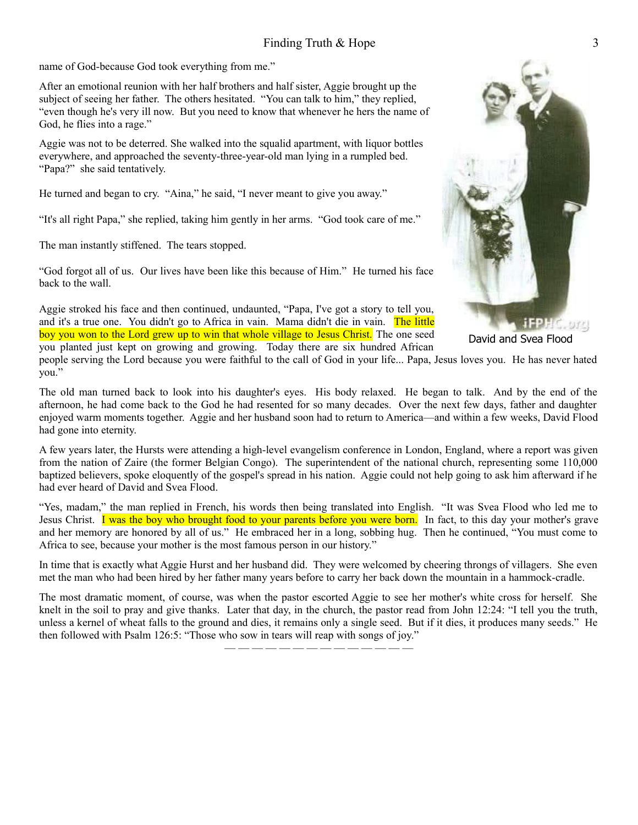name of God-because God took everything from me."

After an emotional reunion with her half brothers and half sister, Aggie brought up the subject of seeing her father. The others hesitated. "You can talk to him," they replied, "even though he's very ill now. But you need to know that whenever he hers the name of God, he flies into a rage."

Aggie was not to be deterred. She walked into the squalid apartment, with liquor bottles everywhere, and approached the seventy-three-year-old man lying in a rumpled bed. "Papa?" she said tentatively.

He turned and began to cry. "Aina," he said, "I never meant to give you away."

"It's all right Papa," she replied, taking him gently in her arms. "God took care of me."

The man instantly stiffened. The tears stopped.

"God forgot all of us. Our lives have been like this because of Him." He turned his face back to the wall.

Aggie stroked his face and then continued, undaunted, "Papa, I've got a story to tell you, and it's a true one. You didn't go to Africa in vain. Mama didn't die in vain. The little boy you won to the Lord grew up to win that whole village to Jesus Christ. The one seed you planted just kept on growing and growing. Today there are six hundred African

**JFPH**C. 979

David and Svea Flood

people serving the Lord because you were faithful to the call of God in your life... Papa, Jesus loves you. He has never hated you."

The old man turned back to look into his daughter's eyes. His body relaxed. He began to talk. And by the end of the afternoon, he had come back to the God he had resented for so many decades. Over the next few days, father and daughter enjoyed warm moments together. Aggie and her husband soon had to return to America—and within a few weeks, David Flood had gone into eternity.

A few years later, the Hursts were attending a high-level evangelism conference in London, England, where a report was given from the nation of Zaire (the former Belgian Congo). The superintendent of the national church, representing some 110,000 baptized believers, spoke eloquently of the gospel's spread in his nation. Aggie could not help going to ask him afterward if he had ever heard of David and Svea Flood.

"Yes, madam," the man replied in French, his words then being translated into English. "It was Svea Flood who led me to Jesus Christ. I was the boy who brought food to your parents before you were born. In fact, to this day your mother's grave and her memory are honored by all of us." He embraced her in a long, sobbing hug. Then he continued, "You must come to Africa to see, because your mother is the most famous person in our history."

In time that is exactly what Aggie Hurst and her husband did. They were welcomed by cheering throngs of villagers. She even met the man who had been hired by her father many years before to carry her back down the mountain in a hammock-cradle.

The most dramatic moment, of course, was when the pastor escorted Aggie to see her mother's white cross for herself. She knelt in the soil to pray and give thanks. Later that day, in the church, the pastor read from John 12:24: "I tell you the truth, unless a kernel of wheat falls to the ground and dies, it remains only a single seed. But if it dies, it produces many seeds." He then followed with Psalm 126:5: "Those who sow in tears will reap with songs of joy."

— — — — — — — — — — — — — —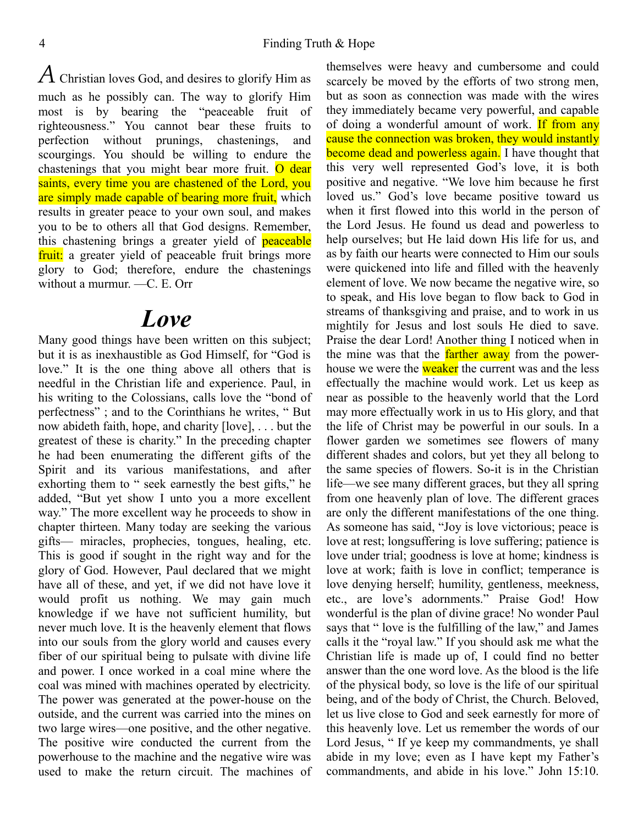*A* Christian loves God, and desires to glorify Him as much as he possibly can. The way to glorify Him most is by bearing the "peaceable fruit of righteousness." You cannot bear these fruits to perfection without prunings, chastenings, and scourgings. You should be willing to endure the chastenings that you might bear more fruit. O dear saints, every time you are chastened of the Lord, you are simply made capable of bearing more fruit, which results in greater peace to your own soul, and makes you to be to others all that God designs. Remember, this chastening brings a greater yield of **peaceable** fruit: a greater yield of peaceable fruit brings more glory to God; therefore, endure the chastenings without a murmur. —C. E. Orr

## *Love*

Many good things have been written on this subject; but it is as inexhaustible as God Himself, for "God is love." It is the one thing above all others that is needful in the Christian life and experience. Paul, in his writing to the Colossians, calls love the "bond of perfectness" ; and to the Corinthians he writes, " But now abideth faith, hope, and charity [love], . . . but the greatest of these is charity." In the preceding chapter he had been enumerating the different gifts of the Spirit and its various manifestations, and after exhorting them to " seek earnestly the best gifts," he added, "But yet show I unto you a more excellent way." The more excellent way he proceeds to show in chapter thirteen. Many today are seeking the various gifts— miracles, prophecies, tongues, healing, etc. This is good if sought in the right way and for the glory of God. However, Paul declared that we might have all of these, and yet, if we did not have love it would profit us nothing. We may gain much knowledge if we have not sufficient humility, but never much love. It is the heavenly element that flows into our souls from the glory world and causes every fiber of our spiritual being to pulsate with divine life and power. I once worked in a coal mine where the coal was mined with machines operated by electricity. The power was generated at the power-house on the outside, and the current was carried into the mines on two large wires—one positive, and the other negative. The positive wire conducted the current from the powerhouse to the machine and the negative wire was used to make the return circuit. The machines of themselves were heavy and cumbersome and could scarcely be moved by the efforts of two strong men, but as soon as connection was made with the wires they immediately became very powerful, and capable of doing a wonderful amount of work. If from any cause the connection was broken, they would instantly become dead and powerless again. I have thought that this very well represented God's love, it is both positive and negative. "We love him because he first loved us." God's love became positive toward us when it first flowed into this world in the person of the Lord Jesus. He found us dead and powerless to help ourselves; but He laid down His life for us, and as by faith our hearts were connected to Him our souls were quickened into life and filled with the heavenly element of love. We now became the negative wire, so to speak, and His love began to flow back to God in streams of thanksgiving and praise, and to work in us mightily for Jesus and lost souls He died to save. Praise the dear Lord! Another thing I noticed when in the mine was that the **farther away** from the powerhouse we were the **weaker** the current was and the less effectually the machine would work. Let us keep as near as possible to the heavenly world that the Lord may more effectually work in us to His glory, and that the life of Christ may be powerful in our souls. In a flower garden we sometimes see flowers of many different shades and colors, but yet they all belong to the same species of flowers. So-it is in the Christian life—we see many different graces, but they all spring from one heavenly plan of love. The different graces are only the different manifestations of the one thing. As someone has said, "Joy is love victorious; peace is love at rest; longsuffering is love suffering; patience is love under trial; goodness is love at home; kindness is love at work; faith is love in conflict; temperance is love denying herself; humility, gentleness, meekness, etc., are love's adornments." Praise God! How wonderful is the plan of divine grace! No wonder Paul says that " love is the fulfilling of the law," and James calls it the "royal law." If you should ask me what the Christian life is made up of, I could find no better answer than the one word love. As the blood is the life of the physical body, so love is the life of our spiritual being, and of the body of Christ, the Church. Beloved, let us live close to God and seek earnestly for more of this heavenly love. Let us remember the words of our Lord Jesus, " If ye keep my commandments, ye shall abide in my love; even as I have kept my Father's commandments, and abide in his love." John 15:10.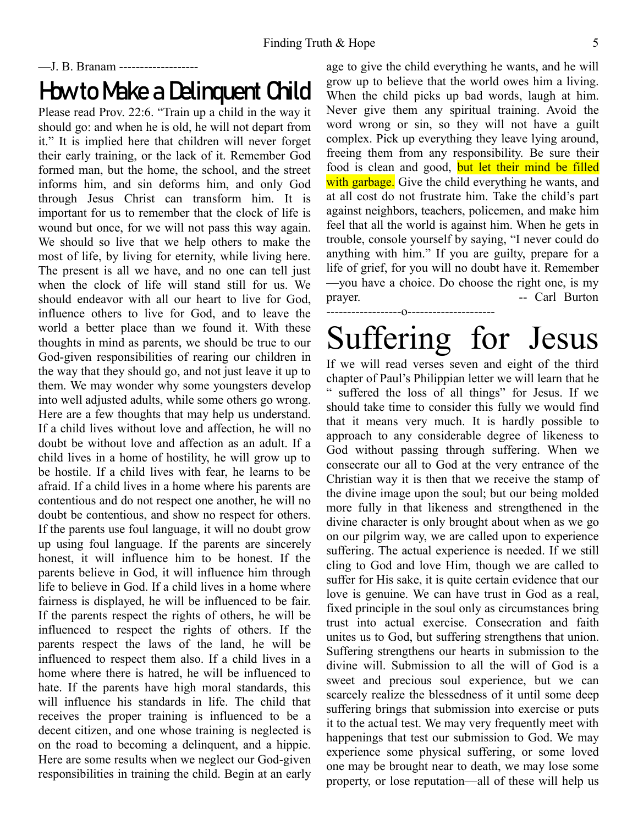### —J. B. Branam ------------------- How to Make a Delinquent Child

Please read Prov. 22:6. "Train up a child in the way it should go: and when he is old, he will not depart from it." It is implied here that children will never forget their early training, or the lack of it. Remember God formed man, but the home, the school, and the street informs him, and sin deforms him, and only God through Jesus Christ can transform him. It is important for us to remember that the clock of life is wound but once, for we will not pass this way again. We should so live that we help others to make the most of life, by living for eternity, while living here. The present is all we have, and no one can tell just when the clock of life will stand still for us. We should endeavor with all our heart to live for God, influence others to live for God, and to leave the world a better place than we found it. With these thoughts in mind as parents, we should be true to our God-given responsibilities of rearing our children in the way that they should go, and not just leave it up to them. We may wonder why some youngsters develop into well adjusted adults, while some others go wrong. Here are a few thoughts that may help us understand. If a child lives without love and affection, he will no doubt be without love and affection as an adult. If a child lives in a home of hostility, he will grow up to be hostile. If a child lives with fear, he learns to be afraid. If a child lives in a home where his parents are contentious and do not respect one another, he will no doubt be contentious, and show no respect for others. If the parents use foul language, it will no doubt grow up using foul language. If the parents are sincerely honest, it will influence him to be honest. If the parents believe in God, it will influence him through life to believe in God. If a child lives in a home where fairness is displayed, he will be influenced to be fair. If the parents respect the rights of others, he will be influenced to respect the rights of others. If the parents respect the laws of the land, he will be influenced to respect them also. If a child lives in a home where there is hatred, he will be influenced to hate. If the parents have high moral standards, this will influence his standards in life. The child that receives the proper training is influenced to be a decent citizen, and one whose training is neglected is on the road to becoming a delinquent, and a hippie. Here are some results when we neglect our God-given responsibilities in training the child. Begin at an early age to give the child everything he wants, and he will grow up to believe that the world owes him a living. When the child picks up bad words, laugh at him. Never give them any spiritual training. Avoid the word wrong or sin, so they will not have a guilt complex. Pick up everything they leave lying around, freeing them from any responsibility. Be sure their food is clean and good, but let their mind be filled with garbage. Give the child everything he wants, and at all cost do not frustrate him. Take the child's part against neighbors, teachers, policemen, and make him feel that all the world is against him. When he gets in trouble, console yourself by saying, "I never could do anything with him." If you are guilty, prepare for a life of grief, for you will no doubt have it. Remember —you have a choice. Do choose the right one, is my prayer. -- Carl Burton

# Suffering for Jesus

------------------o---------------------

If we will read verses seven and eight of the third chapter of Paul's Philippian letter we will learn that he " suffered the loss of all things" for Jesus. If we should take time to consider this fully we would find that it means very much. It is hardly possible to approach to any considerable degree of likeness to God without passing through suffering. When we consecrate our all to God at the very entrance of the Christian way it is then that we receive the stamp of the divine image upon the soul; but our being molded more fully in that likeness and strengthened in the divine character is only brought about when as we go on our pilgrim way, we are called upon to experience suffering. The actual experience is needed. If we still cling to God and love Him, though we are called to suffer for His sake, it is quite certain evidence that our love is genuine. We can have trust in God as a real, fixed principle in the soul only as circumstances bring trust into actual exercise. Consecration and faith unites us to God, but suffering strengthens that union. Suffering strengthens our hearts in submission to the divine will. Submission to all the will of God is a sweet and precious soul experience, but we can scarcely realize the blessedness of it until some deep suffering brings that submission into exercise or puts it to the actual test. We may very frequently meet with happenings that test our submission to God. We may experience some physical suffering, or some loved one may be brought near to death, we may lose some property, or lose reputation—all of these will help us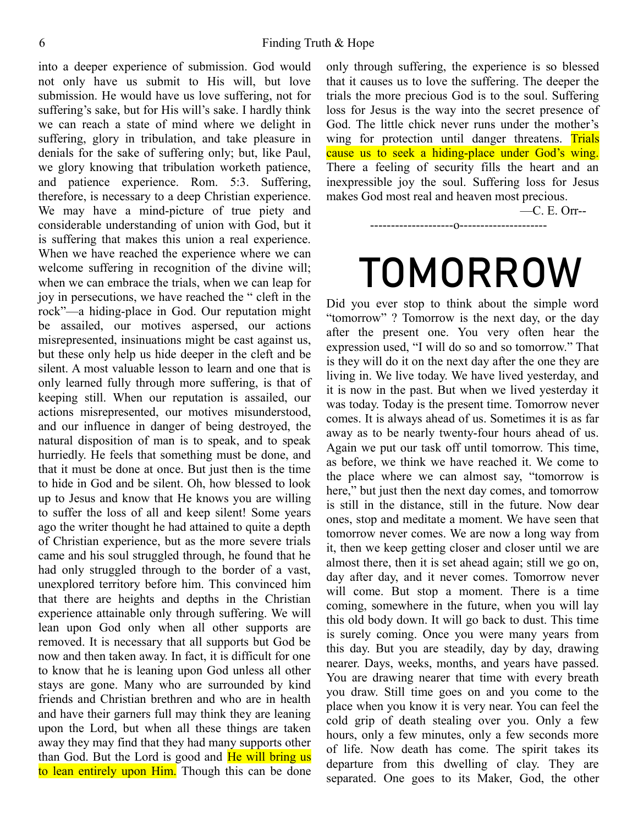into a deeper experience of submission. God would not only have us submit to His will, but love submission. He would have us love suffering, not for suffering's sake, but for His will's sake. I hardly think we can reach a state of mind where we delight in suffering, glory in tribulation, and take pleasure in denials for the sake of suffering only; but, like Paul, we glory knowing that tribulation worketh patience, and patience experience. Rom. 5:3. Suffering, therefore, is necessary to a deep Christian experience. We may have a mind-picture of true piety and considerable understanding of union with God, but it is suffering that makes this union a real experience. When we have reached the experience where we can welcome suffering in recognition of the divine will; when we can embrace the trials, when we can leap for joy in persecutions, we have reached the " cleft in the rock"—a hiding-place in God. Our reputation might be assailed, our motives aspersed, our actions misrepresented, insinuations might be cast against us, but these only help us hide deeper in the cleft and be silent. A most valuable lesson to learn and one that is only learned fully through more suffering, is that of keeping still. When our reputation is assailed, our actions misrepresented, our motives misunderstood, and our influence in danger of being destroyed, the natural disposition of man is to speak, and to speak hurriedly. He feels that something must be done, and that it must be done at once. But just then is the time to hide in God and be silent. Oh, how blessed to look up to Jesus and know that He knows you are willing to suffer the loss of all and keep silent! Some years ago the writer thought he had attained to quite a depth of Christian experience, but as the more severe trials came and his soul struggled through, he found that he had only struggled through to the border of a vast, unexplored territory before him. This convinced him that there are heights and depths in the Christian experience attainable only through suffering. We will lean upon God only when all other supports are removed. It is necessary that all supports but God be now and then taken away. In fact, it is difficult for one to know that he is leaning upon God unless all other stays are gone. Many who are surrounded by kind friends and Christian brethren and who are in health and have their garners full may think they are leaning upon the Lord, but when all these things are taken away they may find that they had many supports other than God. But the Lord is good and He will bring us to lean entirely upon Him. Though this can be done only through suffering, the experience is so blessed that it causes us to love the suffering. The deeper the trials the more precious God is to the soul. Suffering loss for Jesus is the way into the secret presence of God. The little chick never runs under the mother's wing for protection until danger threatens. Trials cause us to seek a hiding-place under God's wing. There a feeling of security fills the heart and an inexpressible joy the soul. Suffering loss for Jesus makes God most real and heaven most precious.

—C. E. Orr--

--------------------o---------------------

# TOMORROW

Did you ever stop to think about the simple word "tomorrow" ? Tomorrow is the next day, or the day after the present one. You very often hear the expression used, "I will do so and so tomorrow." That is they will do it on the next day after the one they are living in. We live today. We have lived yesterday, and it is now in the past. But when we lived yesterday it was today. Today is the present time. Tomorrow never comes. It is always ahead of us. Sometimes it is as far away as to be nearly twenty-four hours ahead of us. Again we put our task off until tomorrow. This time, as before, we think we have reached it. We come to the place where we can almost say, "tomorrow is here," but just then the next day comes, and tomorrow is still in the distance, still in the future. Now dear ones, stop and meditate a moment. We have seen that tomorrow never comes. We are now a long way from it, then we keep getting closer and closer until we are almost there, then it is set ahead again; still we go on, day after day, and it never comes. Tomorrow never will come. But stop a moment. There is a time coming, somewhere in the future, when you will lay this old body down. It will go back to dust. This time is surely coming. Once you were many years from this day. But you are steadily, day by day, drawing nearer. Days, weeks, months, and years have passed. You are drawing nearer that time with every breath you draw. Still time goes on and you come to the place when you know it is very near. You can feel the cold grip of death stealing over you. Only a few hours, only a few minutes, only a few seconds more of life. Now death has come. The spirit takes its departure from this dwelling of clay. They are separated. One goes to its Maker, God, the other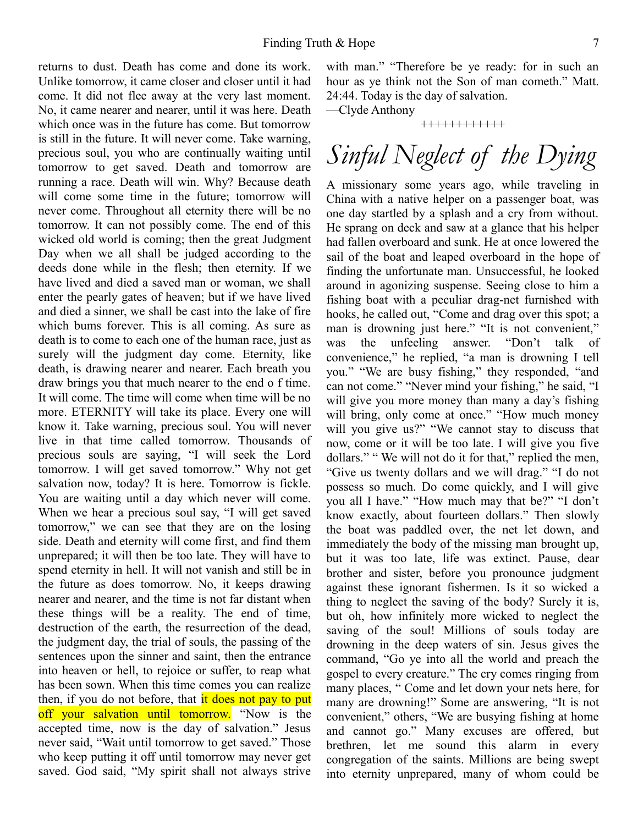returns to dust. Death has come and done its work. Unlike tomorrow, it came closer and closer until it had come. It did not flee away at the very last moment. No, it came nearer and nearer, until it was here. Death which once was in the future has come. But tomorrow is still in the future. It will never come. Take warning, precious soul, you who are continually waiting until tomorrow to get saved. Death and tomorrow are running a race. Death will win. Why? Because death will come some time in the future; tomorrow will never come. Throughout all eternity there will be no tomorrow. It can not possibly come. The end of this wicked old world is coming; then the great Judgment Day when we all shall be judged according to the deeds done while in the flesh; then eternity. If we have lived and died a saved man or woman, we shall enter the pearly gates of heaven; but if we have lived and died a sinner, we shall be cast into the lake of fire which bums forever. This is all coming. As sure as death is to come to each one of the human race, just as surely will the judgment day come. Eternity, like death, is drawing nearer and nearer. Each breath you draw brings you that much nearer to the end o f time. It will come. The time will come when time will be no more. ETERNITY will take its place. Every one will know it. Take warning, precious soul. You will never live in that time called tomorrow. Thousands of precious souls are saying, "I will seek the Lord tomorrow. I will get saved tomorrow." Why not get salvation now, today? It is here. Tomorrow is fickle. You are waiting until a day which never will come. When we hear a precious soul say, "I will get saved tomorrow," we can see that they are on the losing side. Death and eternity will come first, and find them unprepared; it will then be too late. They will have to spend eternity in hell. It will not vanish and still be in the future as does tomorrow. No, it keeps drawing nearer and nearer, and the time is not far distant when these things will be a reality. The end of time, destruction of the earth, the resurrection of the dead, the judgment day, the trial of souls, the passing of the sentences upon the sinner and saint, then the entrance into heaven or hell, to rejoice or suffer, to reap what has been sown. When this time comes you can realize then, if you do not before, that it does not pay to put off your salvation until tomorrow. "Now is the accepted time, now is the day of salvation." Jesus never said, "Wait until tomorrow to get saved." Those who keep putting it off until tomorrow may never get saved. God said, "My spirit shall not always strive with man." "Therefore be ye ready: for in such an hour as ye think not the Son of man cometh." Matt. 24:44. Today is the day of salvation.

—Clyde Anthony

++++++++++++

## *Sinful Neglect of the Dying*

A missionary some years ago, while traveling in China with a native helper on a passenger boat, was one day startled by a splash and a cry from without. He sprang on deck and saw at a glance that his helper had fallen overboard and sunk. He at once lowered the sail of the boat and leaped overboard in the hope of finding the unfortunate man. Unsuccessful, he looked around in agonizing suspense. Seeing close to him a fishing boat with a peculiar drag-net furnished with hooks, he called out, "Come and drag over this spot; a man is drowning just here." "It is not convenient," was the unfeeling answer. "Don't talk of convenience," he replied, "a man is drowning I tell you." "We are busy fishing," they responded, "and can not come." "Never mind your fishing," he said, "I will give you more money than many a day's fishing will bring, only come at once." "How much money will you give us?" "We cannot stay to discuss that now, come or it will be too late. I will give you five dollars." "We will not do it for that," replied the men, "Give us twenty dollars and we will drag." "I do not possess so much. Do come quickly, and I will give you all I have." "How much may that be?" "I don't know exactly, about fourteen dollars." Then slowly the boat was paddled over, the net let down, and immediately the body of the missing man brought up, but it was too late, life was extinct. Pause, dear brother and sister, before you pronounce judgment against these ignorant fishermen. Is it so wicked a thing to neglect the saving of the body? Surely it is, but oh, how infinitely more wicked to neglect the saving of the soul! Millions of souls today are drowning in the deep waters of sin. Jesus gives the command, "Go ye into all the world and preach the gospel to every creature." The cry comes ringing from many places, " Come and let down your nets here, for many are drowning!" Some are answering, "It is not convenient," others, "We are busying fishing at home and cannot go." Many excuses are offered, but brethren, let me sound this alarm in every congregation of the saints. Millions are being swept into eternity unprepared, many of whom could be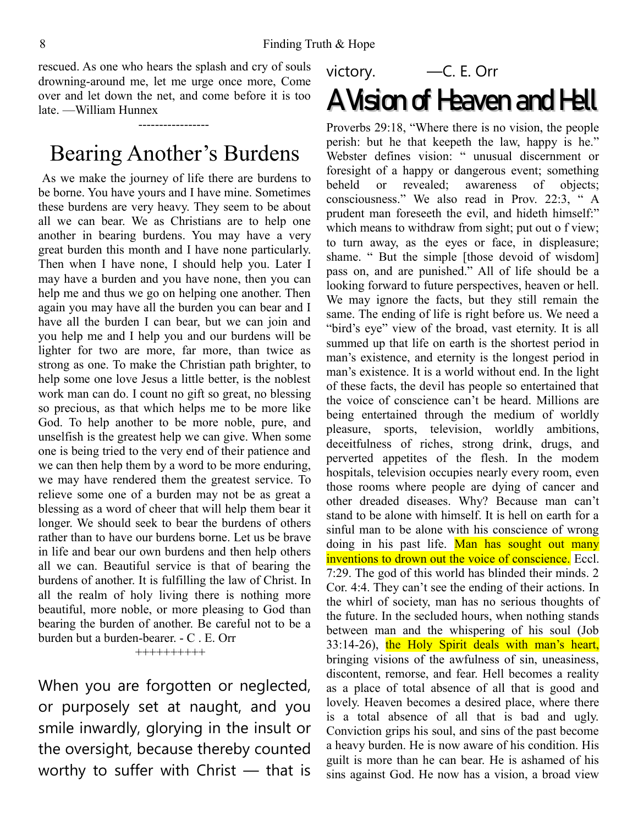rescued. As one who hears the splash and cry of souls drowning-around me, let me urge once more, Come over and let down the net, and come before it is too late. —William Hunnex

-----------------

## Bearing Another's Burdens

 As we make the journey of life there are burdens to be borne. You have yours and I have mine. Sometimes these burdens are very heavy. They seem to be about all we can bear. We as Christians are to help one another in bearing burdens. You may have a very great burden this month and I have none particularly. Then when I have none, I should help you. Later I may have a burden and you have none, then you can help me and thus we go on helping one another. Then again you may have all the burden you can bear and I have all the burden I can bear, but we can join and you help me and I help you and our burdens will be lighter for two are more, far more, than twice as strong as one. To make the Christian path brighter, to help some one love Jesus a little better, is the noblest work man can do. I count no gift so great, no blessing so precious, as that which helps me to be more like God. To help another to be more noble, pure, and unselfish is the greatest help we can give. When some one is being tried to the very end of their patience and we can then help them by a word to be more enduring, we may have rendered them the greatest service. To relieve some one of a burden may not be as great a blessing as a word of cheer that will help them bear it longer. We should seek to bear the burdens of others rather than to have our burdens borne. Let us be brave in life and bear our own burdens and then help others all we can. Beautiful service is that of bearing the burdens of another. It is fulfilling the law of Christ. In all the realm of holy living there is nothing more beautiful, more noble, or more pleasing to God than bearing the burden of another. Be careful not to be a burden but a burden-bearer. - C . E. Orr ++++++++++

When you are forgotten or neglected, or purposely set at naught, and you smile inwardly, glorying in the insult or the oversight, because thereby counted worthy to suffer with Christ — that is

## victory. —C. E. Orr A Vision of Heaven and Hell

Proverbs 29:18, "Where there is no vision, the people perish: but he that keepeth the law, happy is he." Webster defines vision: " unusual discernment or foresight of a happy or dangerous event; something beheld or revealed; awareness of objects; consciousness." We also read in Prov. 22:3, " A prudent man foreseeth the evil, and hideth himself:" which means to withdraw from sight; put out o f view; to turn away, as the eyes or face, in displeasure; shame. " But the simple [those devoid of wisdom] pass on, and are punished." All of life should be a looking forward to future perspectives, heaven or hell. We may ignore the facts, but they still remain the same. The ending of life is right before us. We need a "bird's eye" view of the broad, vast eternity. It is all summed up that life on earth is the shortest period in man's existence, and eternity is the longest period in man's existence. It is a world without end. In the light of these facts, the devil has people so entertained that the voice of conscience can't be heard. Millions are being entertained through the medium of worldly pleasure, sports, television, worldly ambitions, deceitfulness of riches, strong drink, drugs, and perverted appetites of the flesh. In the modem hospitals, television occupies nearly every room, even those rooms where people are dying of cancer and other dreaded diseases. Why? Because man can't stand to be alone with himself. It is hell on earth for a sinful man to be alone with his conscience of wrong doing in his past life. Man has sought out many inventions to drown out the voice of conscience. Eccl. 7:29. The god of this world has blinded their minds. 2 Cor. 4:4. They can't see the ending of their actions. In the whirl of society, man has no serious thoughts of the future. In the secluded hours, when nothing stands between man and the whispering of his soul (Job 33:14-26), the Holy Spirit deals with man's heart, bringing visions of the awfulness of sin, uneasiness, discontent, remorse, and fear. Hell becomes a reality as a place of total absence of all that is good and lovely. Heaven becomes a desired place, where there is a total absence of all that is bad and ugly. Conviction grips his soul, and sins of the past become a heavy burden. He is now aware of his condition. His guilt is more than he can bear. He is ashamed of his sins against God. He now has a vision, a broad view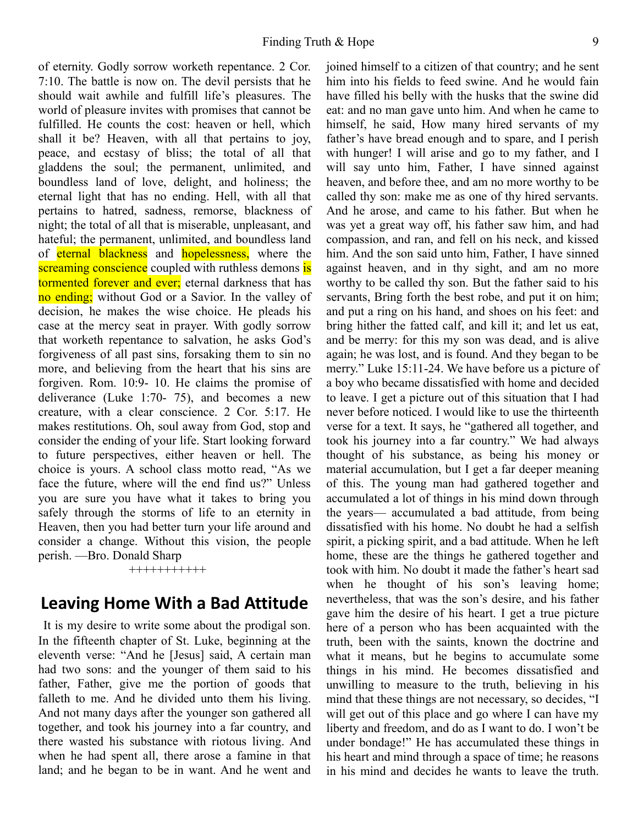of eternity. Godly sorrow worketh repentance. 2 Cor. 7:10. The battle is now on. The devil persists that he should wait awhile and fulfill life's pleasures. The world of pleasure invites with promises that cannot be fulfilled. He counts the cost: heaven or hell, which shall it be? Heaven, with all that pertains to joy, peace, and ecstasy of bliss; the total of all that gladdens the soul; the permanent, unlimited, and boundless land of love, delight, and holiness; the eternal light that has no ending. Hell, with all that pertains to hatred, sadness, remorse, blackness of night; the total of all that is miserable, unpleasant, and hateful; the permanent, unlimited, and boundless land of eternal blackness and hopelessness, where the screaming conscience coupled with ruthless demons is tormented forever and ever; eternal darkness that has no ending; without God or a Savior. In the valley of decision, he makes the wise choice. He pleads his case at the mercy seat in prayer. With godly sorrow that worketh repentance to salvation, he asks God's forgiveness of all past sins, forsaking them to sin no more, and believing from the heart that his sins are forgiven. Rom. 10:9- 10. He claims the promise of deliverance (Luke 1:70- 75), and becomes a new creature, with a clear conscience. 2 Cor. 5:17. He makes restitutions. Oh, soul away from God, stop and consider the ending of your life. Start looking forward to future perspectives, either heaven or hell. The choice is yours. A school class motto read, "As we face the future, where will the end find us?" Unless you are sure you have what it takes to bring you safely through the storms of life to an eternity in Heaven, then you had better turn your life around and consider a change. Without this vision, the people perish. —Bro. Donald Sharp

+++++++++++

#### **Leaving Home With a Bad Attitude**

It is my desire to write some about the prodigal son. In the fifteenth chapter of St. Luke, beginning at the eleventh verse: "And he [Jesus] said, A certain man had two sons: and the younger of them said to his father, Father, give me the portion of goods that falleth to me. And he divided unto them his living. And not many days after the younger son gathered all together, and took his journey into a far country, and there wasted his substance with riotous living. And when he had spent all, there arose a famine in that land; and he began to be in want. And he went and joined himself to a citizen of that country; and he sent him into his fields to feed swine. And he would fain have filled his belly with the husks that the swine did eat: and no man gave unto him. And when he came to himself, he said, How many hired servants of my father's have bread enough and to spare, and I perish with hunger! I will arise and go to my father, and I will say unto him, Father, I have sinned against heaven, and before thee, and am no more worthy to be called thy son: make me as one of thy hired servants. And he arose, and came to his father. But when he was yet a great way off, his father saw him, and had compassion, and ran, and fell on his neck, and kissed him. And the son said unto him, Father, I have sinned against heaven, and in thy sight, and am no more worthy to be called thy son. But the father said to his servants, Bring forth the best robe, and put it on him; and put a ring on his hand, and shoes on his feet: and bring hither the fatted calf, and kill it; and let us eat, and be merry: for this my son was dead, and is alive again; he was lost, and is found. And they began to be merry." Luke 15:11-24. We have before us a picture of a boy who became dissatisfied with home and decided to leave. I get a picture out of this situation that I had never before noticed. I would like to use the thirteenth verse for a text. It says, he "gathered all together, and took his journey into a far country." We had always thought of his substance, as being his money or material accumulation, but I get a far deeper meaning of this. The young man had gathered together and accumulated a lot of things in his mind down through the years— accumulated a bad attitude, from being dissatisfied with his home. No doubt he had a selfish spirit, a picking spirit, and a bad attitude. When he left home, these are the things he gathered together and took with him. No doubt it made the father's heart sad when he thought of his son's leaving home; nevertheless, that was the son's desire, and his father gave him the desire of his heart. I get a true picture here of a person who has been acquainted with the truth, been with the saints, known the doctrine and what it means, but he begins to accumulate some things in his mind. He becomes dissatisfied and unwilling to measure to the truth, believing in his mind that these things are not necessary, so decides, "I will get out of this place and go where I can have my liberty and freedom, and do as I want to do. I won't be under bondage!" He has accumulated these things in his heart and mind through a space of time; he reasons in his mind and decides he wants to leave the truth.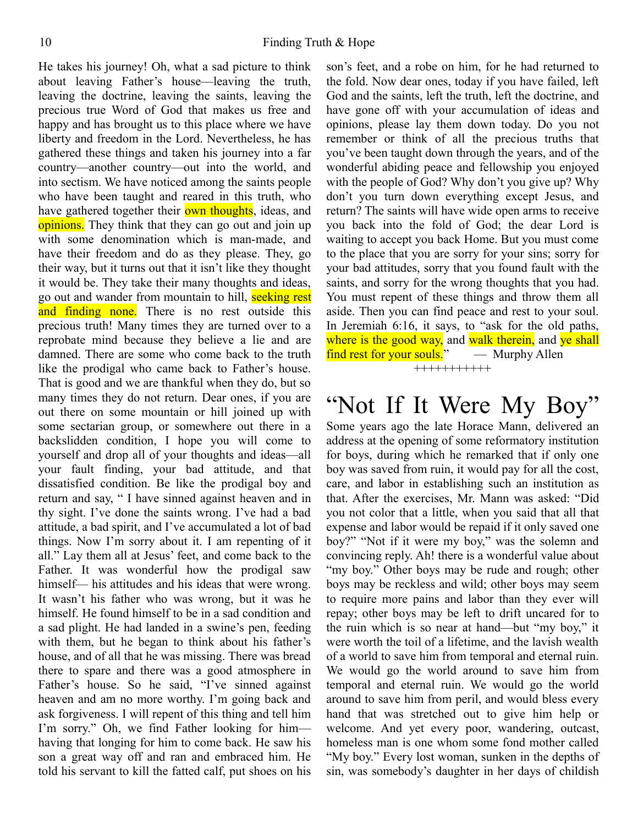He takes his journey! Oh, what a sad picture to think about leaving Father's house—leaving the truth, leaving the doctrine, leaving the saints, leaving the precious true Word of God that makes us free and happy and has brought us to this place where we have liberty and freedom in the Lord. Nevertheless, he has gathered these things and taken his journey into a far country—another country—out into the world, and into sectism. We have noticed among the saints people who have been taught and reared in this truth, who have gathered together their **own thoughts**, ideas, and opinions. They think that they can go out and join up with some denomination which is man-made, and have their freedom and do as they please. They, go their way, but it turns out that it isn't like they thought it would be. They take their many thoughts and ideas, go out and wander from mountain to hill, seeking rest and finding none. There is no rest outside this precious truth! Many times they are turned over to a reprobate mind because they believe a lie and are damned. There are some who come back to the truth like the prodigal who came back to Father's house. That is good and we are thankful when they do, but so many times they do not return. Dear ones, if you are out there on some mountain or hill joined up with some sectarian group, or somewhere out there in a backslidden condition, I hope you will come to yourself and drop all of your thoughts and ideas—all your fault finding, your bad attitude, and that dissatisfied condition. Be like the prodigal boy and return and say, " I have sinned against heaven and in thy sight. I've done the saints wrong. I've had a bad attitude, a bad spirit, and I've accumulated a lot of bad things. Now I'm sorry about it. I am repenting of it all." Lay them all at Jesus' feet, and come back to the Father. It was wonderful how the prodigal saw himself— his attitudes and his ideas that were wrong. It wasn't his father who was wrong, but it was he himself. He found himself to be in a sad condition and a sad plight. He had landed in a swine's pen, feeding with them, but he began to think about his father's house, and of all that he was missing. There was bread there to spare and there was a good atmosphere in Father's house. So he said, "I've sinned against heaven and am no more worthy. I'm going back and ask forgiveness. I will repent of this thing and tell him I'm sorry." Oh, we find Father looking for him having that longing for him to come back. He saw his son a great way off and ran and embraced him. He told his servant to kill the fatted calf, put shoes on his son's feet, and a robe on him, for he had returned to the fold. Now dear ones, today if you have failed, left God and the saints, left the truth, left the doctrine, and have gone off with your accumulation of ideas and opinions, please lay them down today. Do you not remember or think of all the precious truths that you've been taught down through the years, and of the wonderful abiding peace and fellowship you enjoyed with the people of God? Why don't you give up? Why don't you turn down everything except Jesus, and return? The saints will have wide open arms to receive you back into the fold of God; the dear Lord is waiting to accept you back Home. But you must come to the place that you are sorry for your sins; sorry for your bad attitudes, sorry that you found fault with the saints, and sorry for the wrong thoughts that you had. You must repent of these things and throw them all aside. Then you can find peace and rest to your soul. In Jeremiah 6:16, it says, to "ask for the old paths, where is the good way, and walk therein, and ye shall find rest for your souls." — Murphy Allen +++++++++++

## "Not If It Were My Boy"

Some years ago the late Horace Mann, delivered an address at the opening of some reformatory institution for boys, during which he remarked that if only one boy was saved from ruin, it would pay for all the cost, care, and labor in establishing such an institution as that. After the exercises, Mr. Mann was asked: "Did you not color that a little, when you said that all that expense and labor would be repaid if it only saved one boy?" "Not if it were my boy," was the solemn and convincing reply. Ah! there is a wonderful value about "my boy." Other boys may be rude and rough; other boys may be reckless and wild; other boys may seem to require more pains and labor than they ever will repay; other boys may be left to drift uncared for to the ruin which is so near at hand—but "my boy," it were worth the toil of a lifetime, and the lavish wealth of a world to save him from temporal and eternal ruin. We would go the world around to save him from temporal and eternal ruin. We would go the world around to save him from peril, and would bless every hand that was stretched out to give him help or welcome. And yet every poor, wandering, outcast, homeless man is one whom some fond mother called "My boy." Every lost woman, sunken in the depths of sin, was somebody's daughter in her days of childish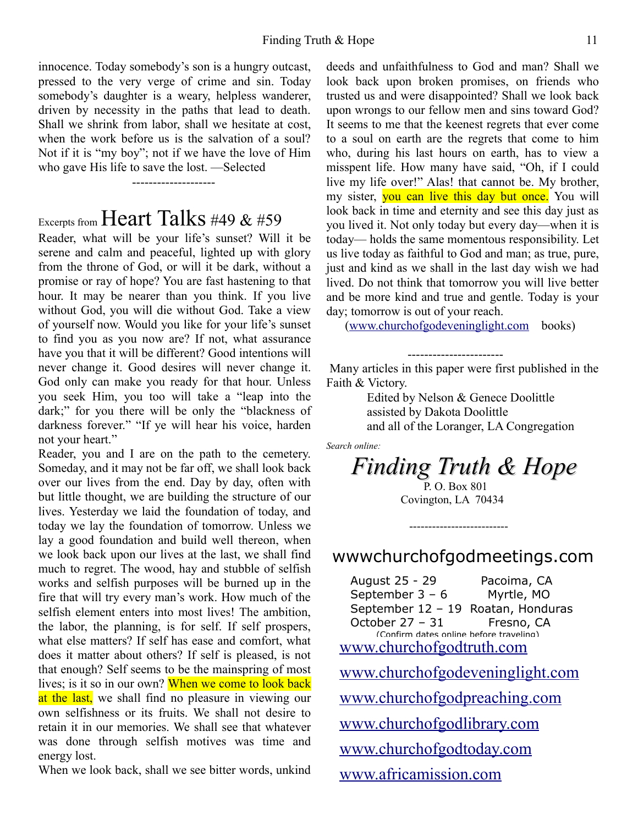innocence. Today somebody's son is a hungry outcast, pressed to the very verge of crime and sin. Today somebody's daughter is a weary, helpless wanderer, driven by necessity in the paths that lead to death. Shall we shrink from labor, shall we hesitate at cost, when the work before us is the salvation of a soul? Not if it is "my boy"; not if we have the love of Him who gave His life to save the lost. —Selected

Excerpts from Heart Talks #49 & #59

--------------------

Reader, what will be your life's sunset? Will it be serene and calm and peaceful, lighted up with glory from the throne of God, or will it be dark, without a promise or ray of hope? You are fast hastening to that hour. It may be nearer than you think. If you live without God, you will die without God. Take a view of yourself now. Would you like for your life's sunset to find you as you now are? If not, what assurance have you that it will be different? Good intentions will never change it. Good desires will never change it. God only can make you ready for that hour. Unless you seek Him, you too will take a "leap into the dark;" for you there will be only the "blackness of darkness forever." "If ye will hear his voice, harden not your heart."

Reader, you and I are on the path to the cemetery. Someday, and it may not be far off, we shall look back over our lives from the end. Day by day, often with but little thought, we are building the structure of our lives. Yesterday we laid the foundation of today, and today we lay the foundation of tomorrow. Unless we lay a good foundation and build well thereon, when we look back upon our lives at the last, we shall find much to regret. The wood, hay and stubble of selfish works and selfish purposes will be burned up in the fire that will try every man's work. How much of the selfish element enters into most lives! The ambition, the labor, the planning, is for self. If self prospers, what else matters? If self has ease and comfort, what does it matter about others? If self is pleased, is not that enough? Self seems to be the mainspring of most lives; is it so in our own? When we come to look back at the last, we shall find no pleasure in viewing our own selfishness or its fruits. We shall not desire to retain it in our memories. We shall see that whatever was done through selfish motives was time and energy lost.

When we look back, shall we see bitter words, unkind

deeds and unfaithfulness to God and man? Shall we look back upon broken promises, on friends who trusted us and were disappointed? Shall we look back upon wrongs to our fellow men and sins toward God? It seems to me that the keenest regrets that ever come to a soul on earth are the regrets that come to him who, during his last hours on earth, has to view a misspent life. How many have said, "Oh, if I could live my life over!" Alas! that cannot be. My brother, my sister, **you can live this day but once.** You will look back in time and eternity and see this day just as you lived it. Not only today but every day—when it is today— holds the same momentous responsibility. Let us live today as faithful to God and man; as true, pure, just and kind as we shall in the last day wish we had lived. Do not think that tomorrow you will live better and be more kind and true and gentle. Today is your day; tomorrow is out of your reach.

[\(www.churchofgodeveninglight.com](http://www.churchofgodeveninglight.com/) books)

-----------------------

 Many articles in this paper were first published in the Faith & Victory.

> Edited by Nelson & Genece Doolittle assisted by Dakota Doolittle and all of the Loranger, LA Congregation

*Search online:*

*Finding Truth & Hope*

P. O. Box 801 Covington, LA 70434

--------------------------

wwwchurchofgodmeetings.com

 August 25 - 29 Pacoima, CA September 3 – 6 Myrtle, MO September 12 – 19 Roatan, Honduras October 27 - 31 Fresno, CA (Confirm dates online before traveling) [www.churchofgodtruth.com](http://www.churchofgodtruth.com/) [www.churchofgodeveninglight.com](http://www.churchofgodeveninglight.com/) [www.churchofgodpreaching.com](http://www.churchofgodpreaching.com/) [www.churchofgodlibrary.com](http://www.churchofgodlibrary.com/) [www.churchofgodtoday.com](http://www.churchofgodtoday.com/) [www.africamission.com](http://www.africamission.com/)